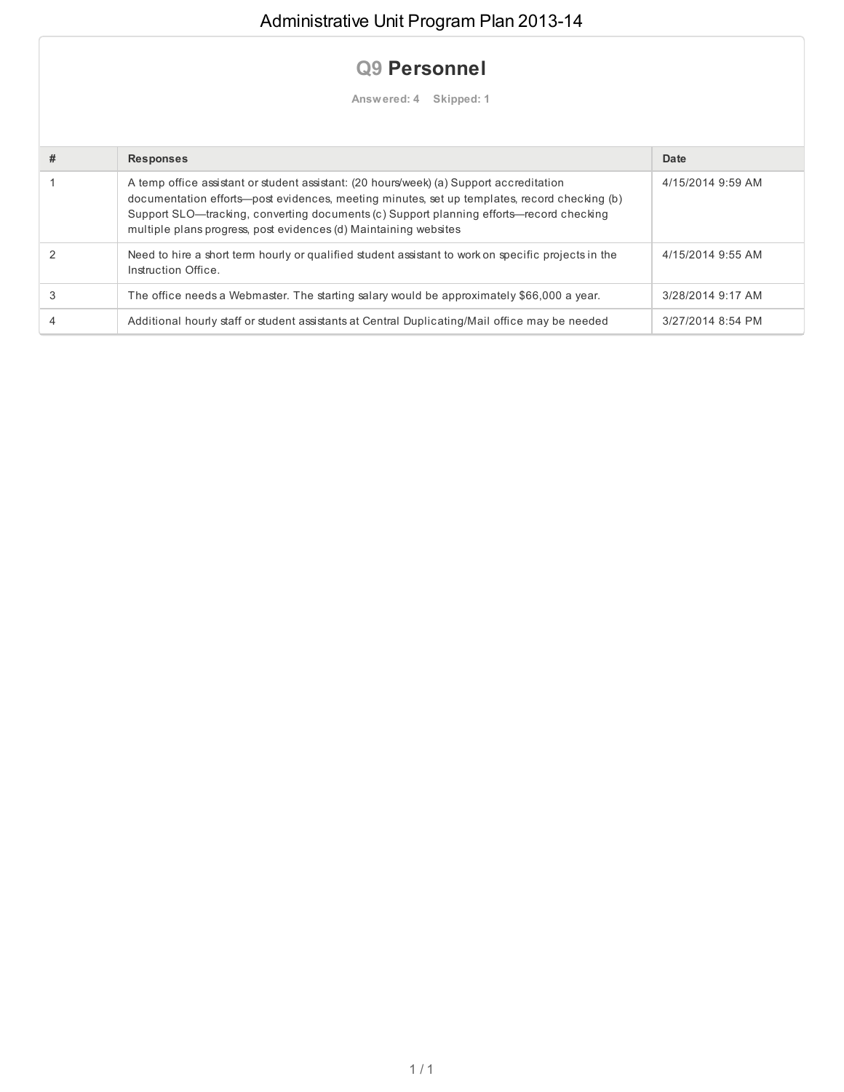## **Q9 Personnel**

**Answered: 4 Skipped: 1**

| # | <b>Responses</b>                                                                                                                                                                                                                                                                                                                                       | Date              |
|---|--------------------------------------------------------------------------------------------------------------------------------------------------------------------------------------------------------------------------------------------------------------------------------------------------------------------------------------------------------|-------------------|
|   | A temp office assistant or student assistant: (20 hours/week) (a) Support accreditation<br>documentation efforts—post evidences, meeting minutes, set up templates, record checking (b)<br>Support SLO—tracking, converting documents (c) Support planning efforts—record checking<br>multiple plans progress, post evidences (d) Maintaining websites | 4/15/2014 9:59 AM |
|   | Need to hire a short term hourly or qualified student assistant to work on specific projects in the<br>Instruction Office.                                                                                                                                                                                                                             | 4/15/2014 9:55 AM |
|   | The office needs a Webmaster. The starting salary would be approximately \$66,000 a year.                                                                                                                                                                                                                                                              | 3/28/2014 9:17 AM |
|   | Additional hourly staff or student assistants at Central Duplicating/Mail office may be needed                                                                                                                                                                                                                                                         | 3/27/2014 8:54 PM |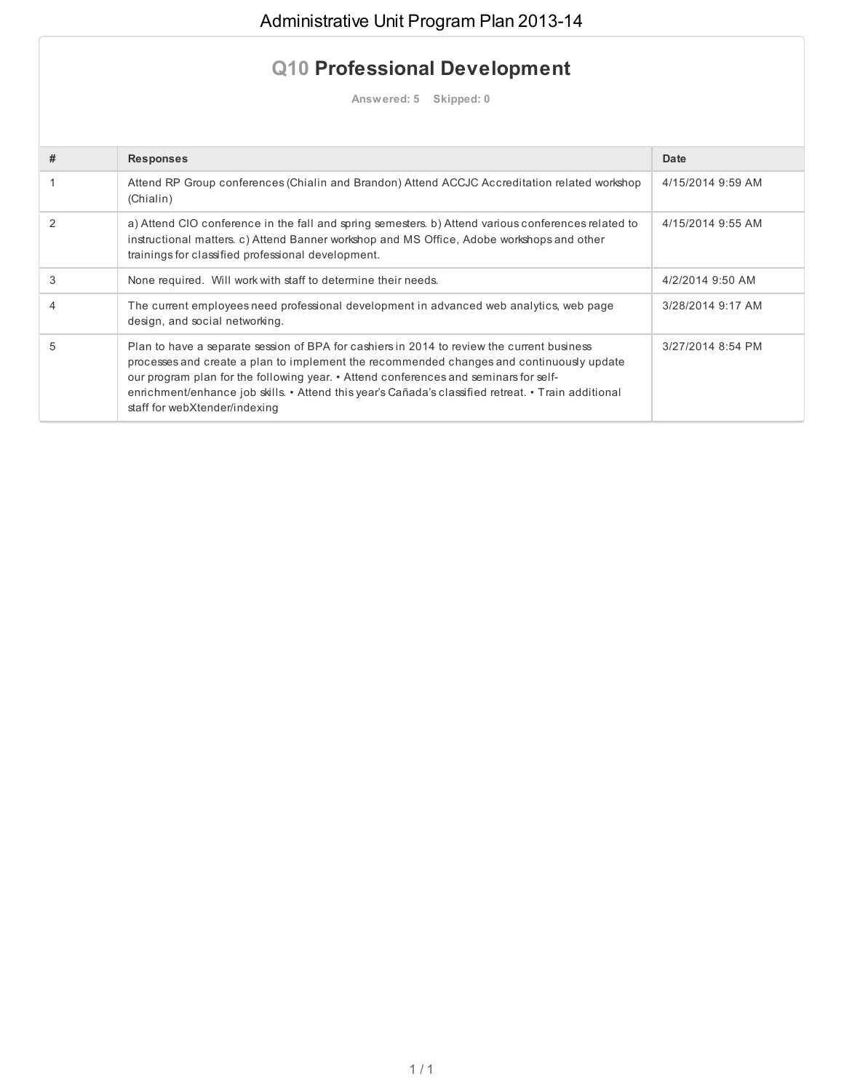## **Q10 Professional Development**

**Answered: 5 Skipped: 0**

| # | <b>Responses</b>                                                                                                                                                                                                                                                                                                                                                                                                       | Date              |
|---|------------------------------------------------------------------------------------------------------------------------------------------------------------------------------------------------------------------------------------------------------------------------------------------------------------------------------------------------------------------------------------------------------------------------|-------------------|
|   | Attend RP Group conferences (Chialin and Brandon) Attend ACCJC Accreditation related workshop<br>(Chialin)                                                                                                                                                                                                                                                                                                             | 4/15/2014 9:59 AM |
| 2 | a) Attend CIO conference in the fall and spring semesters. b) Attend various conferences related to<br>instructional matters. c) Attend Banner workshop and MS Office, Adobe workshops and other<br>trainings for classified professional development.                                                                                                                                                                 | 4/15/2014 9:55 AM |
| 3 | None required. Will work with staff to determine their needs.                                                                                                                                                                                                                                                                                                                                                          | 4/2/2014 9:50 AM  |
|   | The current employees need professional development in advanced web analytics, web page<br>design, and social networking.                                                                                                                                                                                                                                                                                              | 3/28/2014 9:17 AM |
| 5 | Plan to have a separate session of BPA for cashiers in 2014 to review the current business<br>processes and create a plan to implement the recommended changes and continuously update<br>our program plan for the following year. • Attend conferences and seminars for self-<br>enrichment/enhance job skills. • Attend this year's Cañada's classified retreat. • Train additional<br>staff for webXtender/indexing | 3/27/2014 8:54 PM |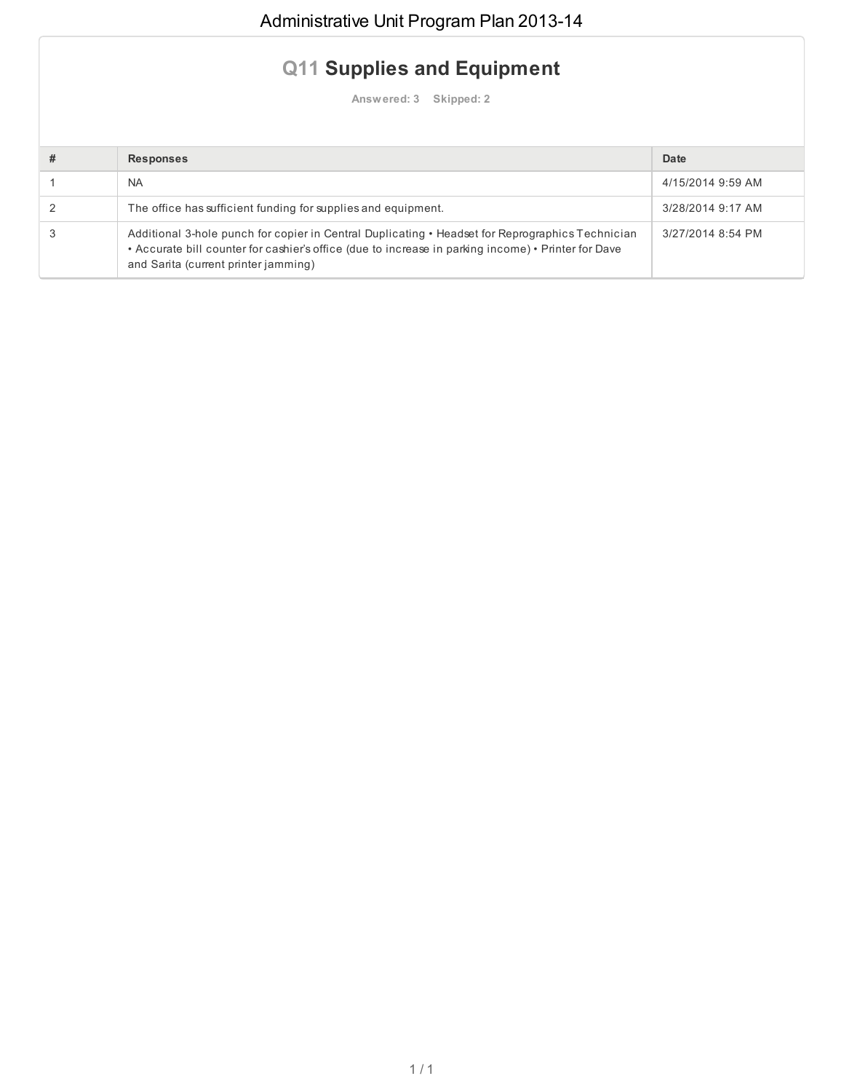## **Q11 Supplies and Equipment**

**Answered: 3 Skipped: 2**

| <b>Responses</b>                                                                                                                                                                                                                                | Date              |
|-------------------------------------------------------------------------------------------------------------------------------------------------------------------------------------------------------------------------------------------------|-------------------|
| <b>NA</b>                                                                                                                                                                                                                                       | 4/15/2014 9:59 AM |
| The office has sufficient funding for supplies and equipment.                                                                                                                                                                                   | 3/28/2014 9:17 AM |
| Additional 3-hole punch for copier in Central Duplicating • Headset for Reprographics Technician<br>• Accurate bill counter for cashier's office (due to increase in parking income) • Printer for Dave<br>and Sarita (current printer jamming) | 3/27/2014 8:54 PM |